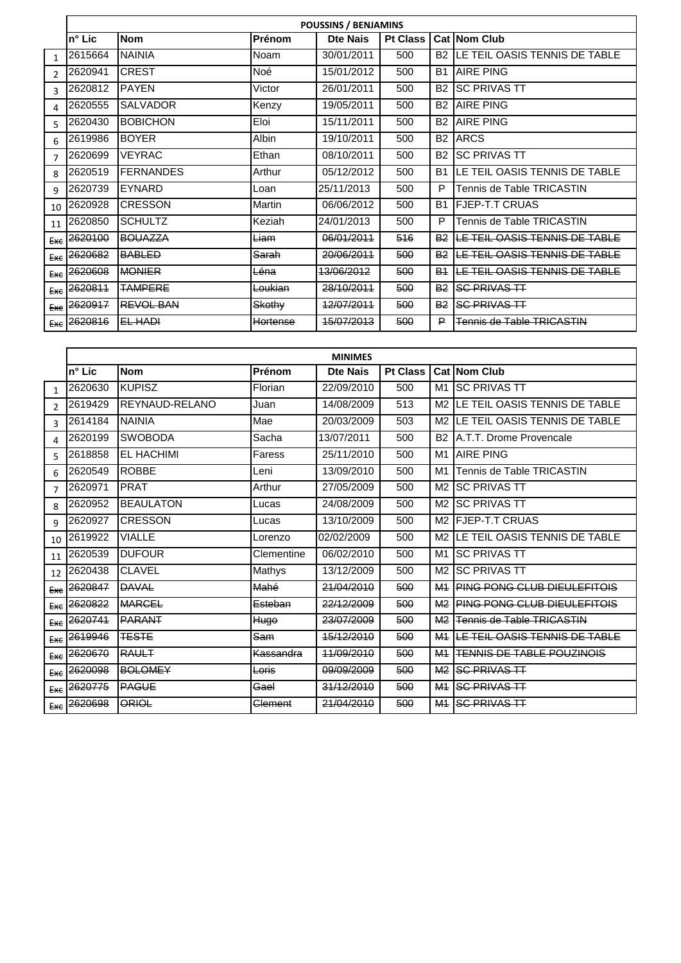|                | <b>POUSSINS / BENJAMINS</b> |                  |          |                 |                 |                       |                               |  |  |  |
|----------------|-----------------------------|------------------|----------|-----------------|-----------------|-----------------------|-------------------------------|--|--|--|
|                | $n^{\circ}$ Lic             | <b>Nom</b>       | Prénom   | <b>Dte Nais</b> | <b>Pt Class</b> |                       | Cat Nom Club                  |  |  |  |
| $\mathbf{1}$   | 2615664                     | <b>NAINIA</b>    | Noam     | 30/01/2011      | 500             | <b>B2</b>             | LE TEIL OASIS TENNIS DE TABLE |  |  |  |
| $\mathfrak{p}$ | 2620941                     | <b>CREST</b>     | Noé      | 15/01/2012      | 500             | <b>B1</b>             | <b>AIRE PING</b>              |  |  |  |
| 3              | 2620812                     | <b>PAYEN</b>     | Victor   | 26/01/2011      | 500             | B <sub>2</sub>        | <b>SC PRIVAS TT</b>           |  |  |  |
| 4              | 2620555                     | <b>SALVADOR</b>  | Kenzy    | 19/05/2011      | 500             | B <sub>2</sub>        | <b>AIRE PING</b>              |  |  |  |
| 5              | 2620430                     | <b>BOBICHON</b>  | Eloi     | 15/11/2011      | 500             | B <sub>2</sub>        | <b>AIRE PING</b>              |  |  |  |
| 6              | 2619986                     | <b>BOYER</b>     | Albin    | 19/10/2011      | 500             | B <sub>2</sub>        | <b>ARCS</b>                   |  |  |  |
| 7              | 2620699                     | <b>VEYRAC</b>    | Ethan    | 08/10/2011      | 500             | B <sub>2</sub>        | <b>SC PRIVAS TT</b>           |  |  |  |
| 8              | 2620519                     | <b>FERNANDES</b> | Arthur   | 05/12/2012      | 500             | <b>B1</b>             | LE TEIL OASIS TENNIS DE TABLE |  |  |  |
| 9              | 2620739                     | EYNARD           | Loan     | 25/11/2013      | 500             | P                     | Tennis de Table TRICASTIN     |  |  |  |
| 10             | 2620928                     | <b>CRESSON</b>   | Martin   | 06/06/2012      | 500             | <b>B1</b>             | <b>FJEP-T.T CRUAS</b>         |  |  |  |
| 11             | 2620850                     | <b>SCHULTZ</b>   | Keziah   | 24/01/2013      | 500             | P                     | Tennis de Table TRICASTIN     |  |  |  |
| Exe            | 2620100                     | <b>BOUAZZA</b>   | Liam     | 06/01/2011      | 516             | <b>B2</b>             | LE TEIL OASIS TENNIS DE TABLE |  |  |  |
| Exe            | 2620682                     | <b>BABLED</b>    | Sarah    | 20/06/2011      | 500             | <b>B2</b>             | LE TEIL OASIS TENNIS DE TABLE |  |  |  |
| Exe            | 2620608                     | <b>MONIER</b>    | Léna     | 13/06/2012      | 500             | <b>B</b> <sub>1</sub> | LE TEIL OASIS TENNIS DE TABLE |  |  |  |
| Exe            | 2620811                     | <b>TAMPERE</b>   | Loukian  | 28/10/2011      | 500             | <b>B2</b>             | <b>SC PRIVAS TT</b>           |  |  |  |
|                | $Ex\epsilon$ 2620917        | <b>REVOL BAN</b> | Skothy   | 12/07/2011      | 500             | B <sub>2</sub>        | <b>SC PRIVAS TT</b>           |  |  |  |
|                | $E_{XE}$ 2620816            | EL HADI          | Hortense | 15/07/2013      | 500             | ₽                     | Tennis de Table TRICASTIN     |  |  |  |

|                | <b>MINIMES</b>       |                   |                  |                 |                 |                |                                  |  |  |
|----------------|----------------------|-------------------|------------------|-----------------|-----------------|----------------|----------------------------------|--|--|
|                | $n^{\circ}$ Lic      | <b>Nom</b>        | Prénom           | <b>Dte Nais</b> | <b>Pt Class</b> |                | <b>Cat INom Club</b>             |  |  |
| $\mathbf{1}$   | 2620630              | <b>KUPISZ</b>     | Florian          | 22/09/2010      | 500             | M1             | <b>SC PRIVAS TT</b>              |  |  |
| $\mathcal{P}$  | 2619429              | REYNAUD-RELANO    | Juan             | 14/08/2009      | 513             | M2             | LE TEIL OASIS TENNIS DE TABLE    |  |  |
| $\mathbf{R}$   | 2614184              | <b>NAINIA</b>     | Mae              | 20/03/2009      | 503             | M <sub>2</sub> | LE TEIL OASIS TENNIS DE TABLE    |  |  |
| 4              | 2620199              | <b>SWOBODA</b>    | Sacha            | 13/07/2011      | 500             | B <sub>2</sub> | A.T.T. Drome Provencale          |  |  |
| 5              | 2618858              | <b>EL HACHIMI</b> | Faress           | 25/11/2010      | 500             |                | M <sub>1</sub> LAIRE PING        |  |  |
| 6              | 2620549              | <b>ROBBE</b>      | Leni             | 13/09/2010      | 500             | M1             | Tennis de Table TRICASTIN        |  |  |
| $\overline{7}$ | 2620971              | <b>PRAT</b>       | Arthur           | 27/05/2009      | 500             | M2             | <b>SC PRIVAS TT</b>              |  |  |
| 8              | 2620952              | <b>BEAULATON</b>  | Lucas            | 24/08/2009      | 500             | M <sub>2</sub> | <b>SC PRIVAS TT</b>              |  |  |
| 9              | 2620927              | <b>CRESSON</b>    | Lucas            | 13/10/2009      | 500             | M <sub>2</sub> | <b>IFJEP-T.T CRUAS</b>           |  |  |
| 10             | 2619922              | <b>VIALLE</b>     | Lorenzo          | 02/02/2009      | 500             | M2             | LE TEIL OASIS TENNIS DE TABLE    |  |  |
| 11             | 2620539              | <b>DUFOUR</b>     | Clementine       | 06/02/2010      | 500             | M1             | <b>SC PRIVAS TT</b>              |  |  |
| 12             | 2620438              | <b>CLAVEL</b>     | <b>Mathys</b>    | 13/12/2009      | 500             | M <sub>2</sub> | <b>SC PRIVAS TT</b>              |  |  |
|                | $Ex\epsilon$ 2620847 | <b>DAVAL</b>      | Mahé             | 21/04/2010      | 500             | M <sub>1</sub> | PING PONG CLUB DIEULEFITOIS      |  |  |
| Exe            | 2620822              | <b>MARGEL</b>     | Esteban          | 22/12/2009      | 500             | M <sub>2</sub> | PING PONG CLUB DIEULEFITOIS      |  |  |
| Exe            | 2620741              | PARANT            | Hugo             | 23/07/2009      | 500             | M <sub>2</sub> | Tennis de Table TRICASTIN        |  |  |
| <b>Exe</b>     | 2619946              | <b>TESTE</b>      | Sam              | 15/12/2010      | 500             | M <sub>1</sub> | LE TEIL OASIS TENNIS DE TABLE    |  |  |
| Exe            | 2620670              | RAULT             | Kassandra        | 44/09/2010      | 500             | M <sub>1</sub> | <b>TENNIS DE TABLE POUZINOIS</b> |  |  |
| <b>Exe</b>     | 2620098              | <b>BOLOMEY</b>    | <del>Loris</del> | 09/09/2009      | 500             | M <sub>2</sub> | <b>SC PRIVAS TT</b>              |  |  |
|                | Exc 2620775          | <b>PAGUE</b>      | Gael             | 31/12/2010      | 500             | M <sub>1</sub> | <b>SC PRIVAS TT</b>              |  |  |
| Exe            | 2620698              | ORIOL             | Clement          | 21/04/2010      | 500             | M <sub>1</sub> | <b>SC PRIVAS TT</b>              |  |  |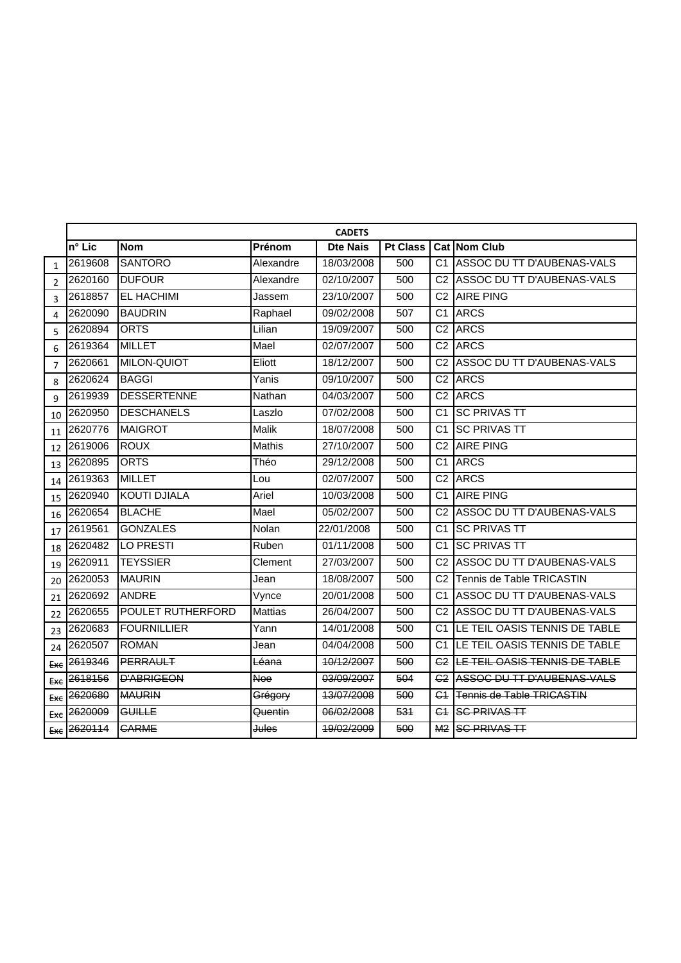|                | <b>CADETS</b> |                          |                  |                 |                 |                 |                                      |  |  |  |
|----------------|---------------|--------------------------|------------------|-----------------|-----------------|-----------------|--------------------------------------|--|--|--|
|                | n° Lic        | <b>Nom</b>               | Prénom           | <b>Dte Nais</b> | <b>Pt Class</b> |                 | Cat Nom Club                         |  |  |  |
| $\mathbf{1}$   | 2619608       | <b>SANTORO</b>           | Alexandre        | 18/03/2008      | 500             |                 | C1 ASSOC DU TT D'AUBENAS-VALS        |  |  |  |
| $\overline{2}$ | 2620160       | <b>DUFOUR</b>            | Alexandre        | 02/10/2007      | 500             |                 | C2 ASSOC DU TT D'AUBENAS-VALS        |  |  |  |
| $\overline{3}$ | 2618857       | <b>EL HACHIMI</b>        | Jassem           | 23/10/2007      | 500             | C <sub>2</sub>  | <b>AIRE PING</b>                     |  |  |  |
| 4              | 2620090       | <b>BAUDRIN</b>           | Raphael          | 09/02/2008      | 507             | C <sub>1</sub>  | <b>ARCS</b>                          |  |  |  |
| 5              | 2620894       | <b>ORTS</b>              | Lilian           | 19/09/2007      | 500             | C <sub>2</sub>  | <b>ARCS</b>                          |  |  |  |
| 6              | 2619364       | <b>MILLET</b>            | Mael             | 02/07/2007      | 500             |                 | C <sub>2</sub> ARCS                  |  |  |  |
| $\overline{7}$ | 2620661       | <b>MILON-QUIOT</b>       | Eliott           | 18/12/2007      | 500             |                 | C2 ASSOC DU TT D'AUBENAS-VALS        |  |  |  |
| 8              | 2620624       | <b>BAGGI</b>             | Yanis            | 09/10/2007      | 500             | C <sub>2</sub>  | <b>ARCS</b>                          |  |  |  |
| 9              | 2619939       | <b>DESSERTENNE</b>       | Nathan           | 04/03/2007      | 500             | C <sub>2</sub>  | <b>ARCS</b>                          |  |  |  |
| 10             | 2620950       | <b>DESCHANELS</b>        | Laszlo           | 07/02/2008      | 500             | C <sub>1</sub>  | <b>SC PRIVAS TT</b>                  |  |  |  |
| 11             | 2620776       | <b>MAIGROT</b>           | Malik            | 18/07/2008      | 500             | C1              | <b>SC PRIVAS TT</b>                  |  |  |  |
| 12             | 2619006       | <b>ROUX</b>              | <b>Mathis</b>    | 27/10/2007      | 500             | C <sub>2</sub>  | <b>AIRE PING</b>                     |  |  |  |
| 13             | 2620895       | <b>ORTS</b>              | Théo             | 29/12/2008      | 500             | C1              | <b>ARCS</b>                          |  |  |  |
| 14             | 2619363       | <b>MILLET</b>            | Lou              | 02/07/2007      | 500             | C <sub>2</sub>  | <b>ARCS</b>                          |  |  |  |
| 15             | 2620940       | <b>KOUTI DJIALA</b>      | Ariel            | 10/03/2008      | 500             | C <sub>1</sub>  | <b>AIRE PING</b>                     |  |  |  |
| 16             | 2620654       | <b>BLACHE</b>            | Mael             | 05/02/2007      | 500             | C <sub>2</sub>  | ASSOC DU TT D'AUBENAS-VALS           |  |  |  |
| 17             | 2619561       | <b>GONZALES</b>          | Nolan            | 22/01/2008      | 500             | C1              | <b>SC PRIVAS TT</b>                  |  |  |  |
| 18             | 2620482       | LO PRESTI                | Ruben            | 01/11/2008      | 500             | C1              | <b>SC PRIVAS TT</b>                  |  |  |  |
| 19             | 2620911       | <b>TEYSSIER</b>          | Clement          | 27/03/2007      | 500             | C2              | ASSOC DU TT D'AUBENAS-VALS           |  |  |  |
| 20             | 2620053       | <b>MAURIN</b>            | Jean             | 18/08/2007      | 500             | $\overline{C2}$ | Tennis de Table TRICASTIN            |  |  |  |
| 21             | 2620692       | <b>ANDRE</b>             | Vynce            | 20/01/2008      | 500             | C1              | ASSOC DU TT D'AUBENAS-VALS           |  |  |  |
| 22             | 2620655       | <b>POULET RUTHERFORD</b> | <b>Mattias</b>   | 26/04/2007      | 500             |                 | C2 ASSOC DU TT D'AUBENAS-VALS        |  |  |  |
| 23             | 2620683       | <b>FOURNILLIER</b>       | Yann             | 14/01/2008      | 500             |                 | C1 LE TEIL OASIS TENNIS DE TABLE     |  |  |  |
| 24             | 2620507       | <b>ROMAN</b>             | Jean             | 04/04/2008      | 500             | C <sub>1</sub>  | LE TEIL OASIS TENNIS DE TABLE        |  |  |  |
| Exe            | 2619346       | PERRAULT                 | Léana            | 10/12/2007      | 500             | C <sub>2</sub>  | LE TEIL OASIS TENNIS DE TABLE        |  |  |  |
| <b>Exe</b>     | 2618156       | <b>D'ABRIGEON</b>        | <b>Noe</b>       | 03/09/2007      | 504             |                 | <b>C2 ASSOC DU TT D'AUBENAS-VALS</b> |  |  |  |
| Exe            | 2620680       | <b>MAURIN</b>            | Grégory          | 13/07/2008      | 500             | G <sub>1</sub>  | <b>Tennis de Table TRICASTIN</b>     |  |  |  |
| Exe            | 2620009       | GUILLE                   | Quentin          | 06/02/2008      | 531             | G <sub>4</sub>  | <b>SC PRIVAS TT</b>                  |  |  |  |
| Exe            | 2620114       | <b>CARME</b>             | <del>Jules</del> | 19/02/2009      | 500             | M <sub>2</sub>  | <b>SC PRIVAS TT</b>                  |  |  |  |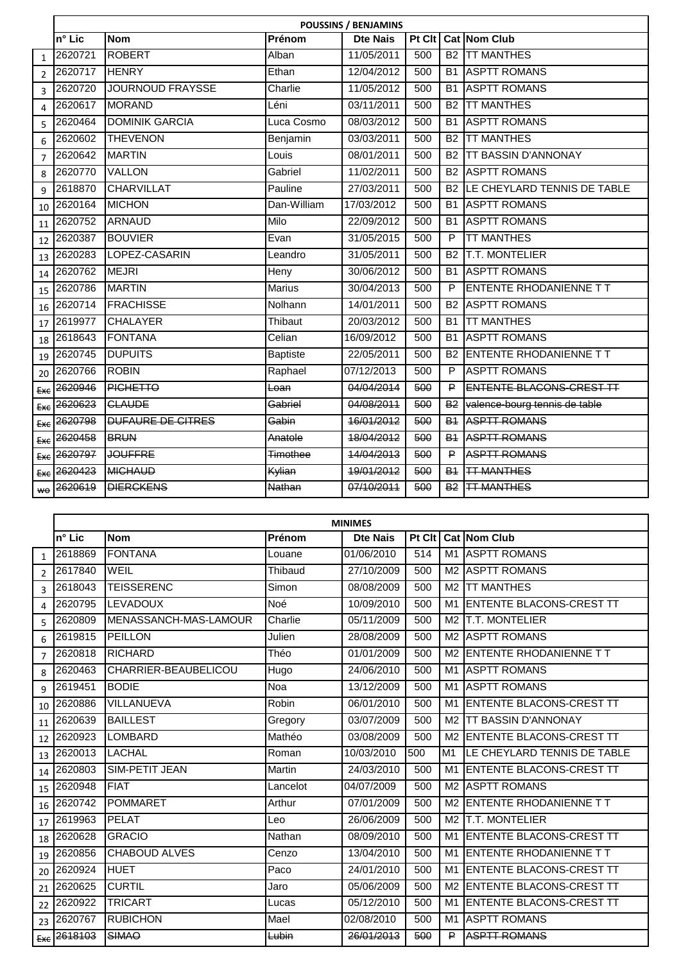|                | <b>POUSSINS / BENJAMINS</b> |                          |                 |                 |        |                       |                                              |  |  |  |
|----------------|-----------------------------|--------------------------|-----------------|-----------------|--------|-----------------------|----------------------------------------------|--|--|--|
|                | n° Lic                      | <b>Nom</b>               | Prénom          | <b>Dte Nais</b> | Pt Clt |                       | Cat Nom Club                                 |  |  |  |
| $\mathbf{1}$   | 2620721                     | <b>ROBERT</b>            | Alban           | 11/05/2011      | 500    |                       | <b>B2 TT MANTHES</b>                         |  |  |  |
| $\mathcal{P}$  | 2620717                     | <b>HENRY</b>             | Ethan           | 12/04/2012      | 500    |                       | <b>B1 ASPTT ROMANS</b>                       |  |  |  |
| $\overline{3}$ | 2620720                     | <b>JOURNOUD FRAYSSE</b>  | Charlie         | 11/05/2012      | 500    | <b>B1</b>             | <b>JASPTT ROMANS</b>                         |  |  |  |
| 4              | 2620617                     | <b>MORAND</b>            | Léni            | 03/11/2011      | 500    | <b>B2</b>             | <b>TT MANTHES</b>                            |  |  |  |
| 5              | 2620464                     | <b>DOMINIK GARCIA</b>    | Luca Cosmo      | 08/03/2012      | 500    | <b>B1</b>             | <b>ASPTT ROMANS</b>                          |  |  |  |
| 6              | 2620602                     | <b>THEVENON</b>          | Benjamin        | 03/03/2011      | 500    | <b>B2</b>             | <b>TT MANTHES</b>                            |  |  |  |
| $\overline{7}$ | 2620642                     | <b>MARTIN</b>            | Louis           | 08/01/2011      | 500    | <b>B2</b>             | <b>TT BASSIN D'ANNONAY</b>                   |  |  |  |
| 8              | 2620770                     | <b>VALLON</b>            | Gabriel         | 11/02/2011      | 500    |                       | <b>B2 ASPTT ROMANS</b>                       |  |  |  |
| 9              | 2618870                     | <b>CHARVILLAT</b>        | Pauline         | 27/03/2011      | 500    | <b>B2</b>             | LE CHEYLARD TENNIS DE TABLE                  |  |  |  |
| 10             | 2620164                     | <b>MICHON</b>            | Dan-William     | 17/03/2012      | 500    |                       | <b>B1 ASPTT ROMANS</b>                       |  |  |  |
| 11             | 2620752                     | <b>ARNAUD</b>            | Milo            | 22/09/2012      | 500    | <b>B1</b>             | <b>ASPTT ROMANS</b>                          |  |  |  |
| 12             | 2620387                     | <b>BOUVIER</b>           | Evan            | 31/05/2015      | 500    | P                     | <b>TT MANTHES</b>                            |  |  |  |
| 13             | 2620283                     | LOPEZ-CASARIN            | Leandro         | 31/05/2011      | 500    | <b>B2</b>             | <b>T.T. MONTELIER</b>                        |  |  |  |
| 14             | 2620762                     | <b>MEJRI</b>             | Heny            | 30/06/2012      | 500    | <b>B1</b>             | <b>ASPTT ROMANS</b>                          |  |  |  |
| 15             | 2620786                     | <b>MARTIN</b>            | <b>Marius</b>   | 30/04/2013      | 500    | P                     | ENTENTE RHODANIENNE T T                      |  |  |  |
| 16             | 2620714                     | <b>FRACHISSE</b>         | Nolhann         | 14/01/2011      | 500    | <b>B2</b>             | <b>ASPTT ROMANS</b>                          |  |  |  |
| 17             | 2619977                     | <b>CHALAYER</b>          | Thibaut         | 20/03/2012      | 500    |                       | <b>B1 TT MANTHES</b>                         |  |  |  |
| 18             | 2618643                     | <b>FONTANA</b>           | Celian          | 16/09/2012      | 500    |                       | <b>B1 ASPTT ROMANS</b>                       |  |  |  |
| 19             | 2620745                     | <b>DUPUITS</b>           | <b>Baptiste</b> | 22/05/2011      | 500    | B2                    | <b>ENTENTE RHODANIENNE T T</b>               |  |  |  |
| 20             | 2620766                     | <b>ROBIN</b>             | Raphael         | 07/12/2013      | 500    | P                     | <b>ASPTT ROMANS</b>                          |  |  |  |
| Exe            | 2620946                     | <b>PICHETTO</b>          | Loan            | 04/04/2014      | 500    | ₽                     | ENTENTE BLACONS-CREST TT                     |  |  |  |
|                | $E_{XC}$ 2620623            | <b>CLAUDE</b>            | Gabriel         | 04/08/2011      | 500    |                       | B <sub>2</sub> valence-bourg tennis de table |  |  |  |
| Exe            | 2620798                     | <b>DUFAURE DE CITRES</b> | Gabin           | 16/01/2012      | 500    | <b>B</b> <sub>1</sub> | <b>ASPTT ROMANS</b>                          |  |  |  |
|                | Exc 2620458                 | <b>BRUN</b>              | Anatole         | 18/04/2012      | 500    |                       | <b>B4 ASPTT ROMANS</b>                       |  |  |  |
| Eже            | 2620797                     | <b>JOUFFRE</b>           | Timothee        | 14/04/2013      | 500    | ₽                     | <b>ASPTT ROMANS</b>                          |  |  |  |
| Exe            | 2620423                     | <b>MICHAUD</b>           | Kylian          | 19/01/2012      | 500    |                       | <b>B<sub>1</sub></b>   TT MANTHES            |  |  |  |
| ₩θ             | 2620619                     | <b>DIERCKENS</b>         | <b>Nathan</b>   | 07/10/2011      | 500    | <b>B2</b>             | <b>ITT MANTHES</b>                           |  |  |  |

|                | <b>MINIMES</b> |                       |          |                 |        |                |                                  |  |  |  |  |
|----------------|----------------|-----------------------|----------|-----------------|--------|----------------|----------------------------------|--|--|--|--|
|                | n° Lic         | <b>Nom</b>            | Prénom   | <b>Dte Nais</b> | Pt Clt |                | Cat Nom Club                     |  |  |  |  |
| $\mathbf{1}$   | 2618869        | <b>FONTANA</b>        | Louane   | 01/06/2010      | 514    | M1             | <b>JASPTT ROMANS</b>             |  |  |  |  |
| $\overline{2}$ | 2617840        | WEIL                  | Thibaud  | 27/10/2009      | 500    |                | M2 ASPTT ROMANS                  |  |  |  |  |
| 3              | 2618043        | <b>TEISSERENC</b>     | Simon    | 08/08/2009      | 500    | M <sub>2</sub> | <b>TT MANTHES</b>                |  |  |  |  |
| 4              | 2620795        | <b>LEVADOUX</b>       | Noé      | 10/09/2010      | 500    | M1             | <b>ENTENTE BLACONS-CREST TT</b>  |  |  |  |  |
| 5              | 2620809        | MENASSANCH-MAS-LAMOUR | Charlie  | 05/11/2009      | 500    | M <sub>2</sub> | T.T. MONTELIER                   |  |  |  |  |
| 6              | 2619815        | <b>PEILLON</b>        | Julien   | 28/08/2009      | 500    |                | M2 ASPTT ROMANS                  |  |  |  |  |
| $\overline{7}$ | 2620818        | <b>RICHARD</b>        | Théo     | 01/01/2009      | 500    | M <sub>2</sub> | <b>ENTENTE RHODANIENNE T T</b>   |  |  |  |  |
| 8              | 2620463        | CHARRIER-BEAUBELICOU  | Hugo     | 24/06/2010      | 500    | M1             | <b>ASPTT ROMANS</b>              |  |  |  |  |
| 9              | 2619451        | <b>BODIE</b>          | Noa      | 13/12/2009      | 500    | M1             | <b>ASPTT ROMANS</b>              |  |  |  |  |
| 10             | 2620886        | VILLANUEVA            | Robin    | 06/01/2010      | 500    | M1             | <b>IENTENTE BLACONS-CREST TT</b> |  |  |  |  |
| 11             | 2620639        | <b>BAILLEST</b>       | Gregory  | 03/07/2009      | 500    | M <sub>2</sub> | <b>TT BASSIN D'ANNONAY</b>       |  |  |  |  |
| 12             | 2620923        | LOMBARD               | Mathéo   | 03/08/2009      | 500    | M <sub>2</sub> | <b>ENTENTE BLACONS-CREST TT</b>  |  |  |  |  |
| 13             | 2620013        | LACHAL                | Roman    | 10/03/2010      | 500    | M1             | LE CHEYLARD TENNIS DE TABLE      |  |  |  |  |
| 14             | 2620803        | SIM-PETIT JEAN        | Martin   | 24/03/2010      | 500    | M1             | <b>ENTENTE BLACONS-CREST TT</b>  |  |  |  |  |
| 15             | 2620948        | <b>FIAT</b>           | Lancelot | 04/07/2009      | 500    | M <sub>2</sub> | <b>ASPTT ROMANS</b>              |  |  |  |  |
| 16             | 2620742        | <b>POMMARET</b>       | Arthur   | 07/01/2009      | 500    | M <sub>2</sub> | <b>ENTENTE RHODANIENNE T T</b>   |  |  |  |  |
| 17             | 2619963        | <b>PELAT</b>          | Leo      | 26/06/2009      | 500    | M <sub>2</sub> | <b>T.T. MONTELIER</b>            |  |  |  |  |
| 18             | 2620628        | <b>GRACIO</b>         | Nathan   | 08/09/2010      | 500    | M1             | <b>ENTENTE BLACONS-CREST TT</b>  |  |  |  |  |
| 19             | 2620856        | <b>CHABOUD ALVES</b>  | Cenzo    | 13/04/2010      | 500    | M1             | <b>ENTENTE RHODANIENNE T T</b>   |  |  |  |  |
| 20             | 2620924        | <b>HUET</b>           | Paco     | 24/01/2010      | 500    | M1             | <b>ENTENTE BLACONS-CREST TT</b>  |  |  |  |  |
| 21             | 2620625        | <b>CURTIL</b>         | Jaro     | 05/06/2009      | 500    | M <sub>2</sub> | <b>ENTENTE BLACONS-CREST TT</b>  |  |  |  |  |
| 22             | 2620922        | <b>TRICART</b>        | Lucas    | 05/12/2010      | 500    | M1             | <b>IENTENTE BLACONS-CREST TT</b> |  |  |  |  |
| 23             | 2620767        | <b>RUBICHON</b>       | Mael     | 02/08/2010      | 500    | M1             | <b>ASPTT ROMANS</b>              |  |  |  |  |
|                | Exc 2618103    | <b>SIMAO</b>          | Lubin    | 26/01/2013      | 500    | P.             | <b>ASPTT ROMANS</b>              |  |  |  |  |